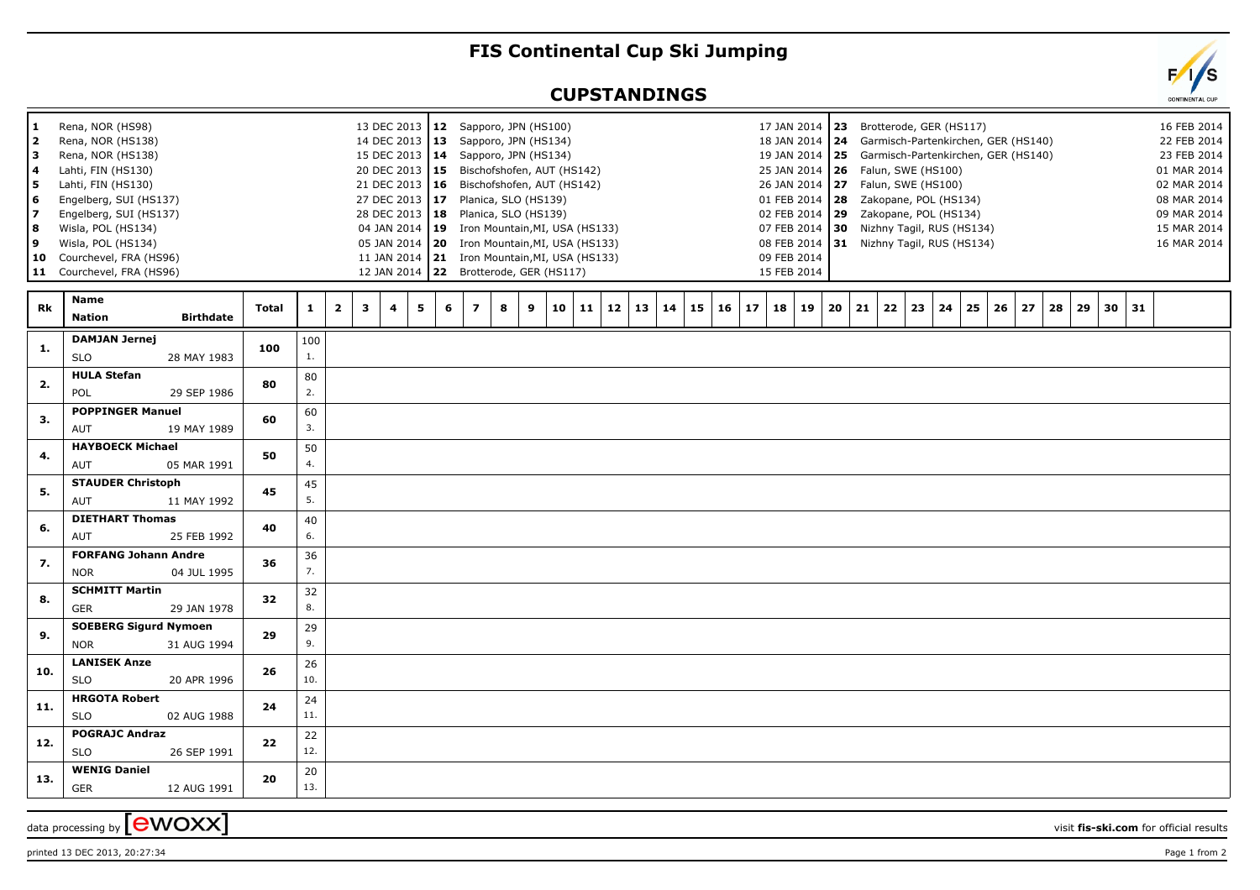## **FIS Continental Cup Ski Jumping**

## **CUPSTANDINGS**



printed 13 DEC 2013, 20:27:34 Page 1 from 2